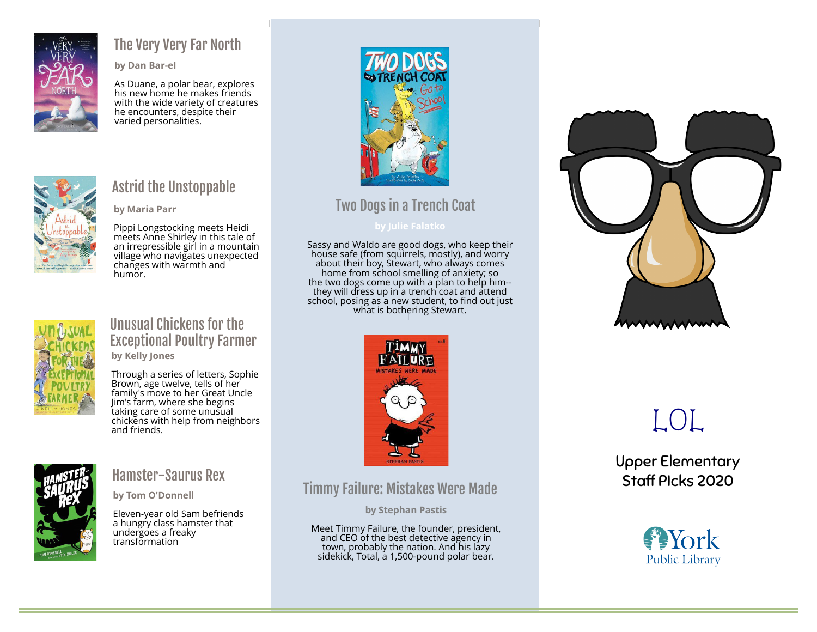

### The Very Very Far North

by Dan Bar-el

As Duane, a polar bear, explores his new home he makes friends with the wide variety of creatures he encounters, despite their varied personalities.



### Astrid the Unstoppable

by Maria Parr

Pippi Longstocking meets Heidi meets Anne Shirley in this tale of an irrepressible girl in a mountain village who navigates unexpected changes with warmth and humor.



#### Unusual Chickens for the Exceptional Poultry Farmer by Kelly Jones

Through a series of letters, Sophie Brown, age twelve, tells of her family's move to her Great Uncle Jim's farm, where she begins taking care of some unusual chickens with help from neighbors and friends.



### Hamster-Saurus Rex

by Tom O'Donnell

Eleven-year old Sam befriends a hungry class hamster that undergoes a freaky transformation



### Two Dogs in a Trench Coat

Sassy and Waldo are good dogs, who keep their house safe (from squirrels, mostly), and worry about their boy, Stewart, who always comes home from school smelling of anxiety; so the two dogs come up with a plan to help him- they will dress up in a trench coat and attend school, posing as a new student, to find out just what is bothering Stewart.



### Timmy Failure: Mistakes Were Made

by Stephan Pastis

Meet Timmy Failure, the founder, president, and CEO of the best detective agency in town, probably the nation. And his lazy sidekick, Total, a 1,500-pound polar bear.



# LOL

Upper Elementary Staff PIcks 2020